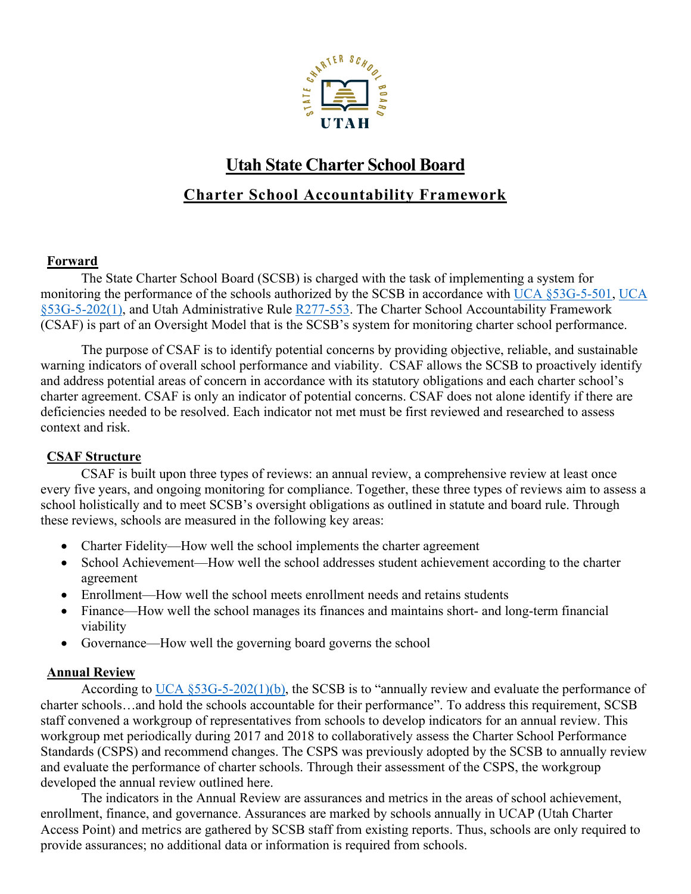

## **Utah State Charter School Board Charter School Accountability Framework**

### **Forward**

The State Charter School Board (SCSB) is charged with the task of implementing a system for monitoring the performance of the schools authorized by the SCSB in accordance with [UCA §53G-5-501,](https://le.utah.gov/xcode/Title53G/Chapter5/53G-5-S501.html?v=C53G-5-S501_2018012420180124) [UCA](https://le.utah.gov/xcode/Title53G/Chapter5/53G-5-S202.html?v=C53G-5-S202_2018012420180124)  [§53G-5-202\(1\),](https://le.utah.gov/xcode/Title53G/Chapter5/53G-5-S202.html?v=C53G-5-S202_2018012420180124) and Utah Administrative Rule [R277-553.](https://rules.utah.gov/publicat/code/r277/r277-481.htm) The Charter School Accountability Framework (CSAF) is part of an Oversight Model that is the SCSB's system for monitoring charter school performance.

The purpose of CSAF is to identify potential concerns by providing objective, reliable, and sustainable warning indicators of overall school performance and viability. CSAF allows the SCSB to proactively identify and address potential areas of concern in accordance with its statutory obligations and each charter school's charter agreement. CSAF is only an indicator of potential concerns. CSAF does not alone identify if there are deficiencies needed to be resolved. Each indicator not met must be first reviewed and researched to assess context and risk.

## **CSAF Structure**

CSAF is built upon three types of reviews: an annual review, a comprehensive review at least once every five years, and ongoing monitoring for compliance. Together, these three types of reviews aim to assess a school holistically and to meet SCSB's oversight obligations as outlined in statute and board rule. Through these reviews, schools are measured in the following key areas:

- Charter Fidelity—How well the school implements the charter agreement
- School Achievement—How well the school addresses student achievement according to the charter agreement
- Enrollment—How well the school meets enrollment needs and retains students
- Finance—How well the school manages its finances and maintains short- and long-term financial viability
- Governance—How well the governing board governs the school

## **Annual Review**

According to [UCA §53G-5-202\(1\)\(b\),](https://le.utah.gov/xcode/Title53G/Chapter5/53G-5-S202.html?v=C53G-5-S202_2018012420180124) the SCSB is to "annually review and evaluate the performance of charter schools…and hold the schools accountable for their performance". To address this requirement, SCSB staff convened a workgroup of representatives from schools to develop indicators for an annual review. This workgroup met periodically during 2017 and 2018 to collaboratively assess the Charter School Performance Standards (CSPS) and recommend changes. The CSPS was previously adopted by the SCSB to annually review and evaluate the performance of charter schools. Through their assessment of the CSPS, the workgroup developed the annual review outlined here.

The indicators in the Annual Review are assurances and metrics in the areas of school achievement, enrollment, finance, and governance. Assurances are marked by schools annually in UCAP (Utah Charter Access Point) and metrics are gathered by SCSB staff from existing reports. Thus, schools are only required to provide assurances; no additional data or information is required from schools.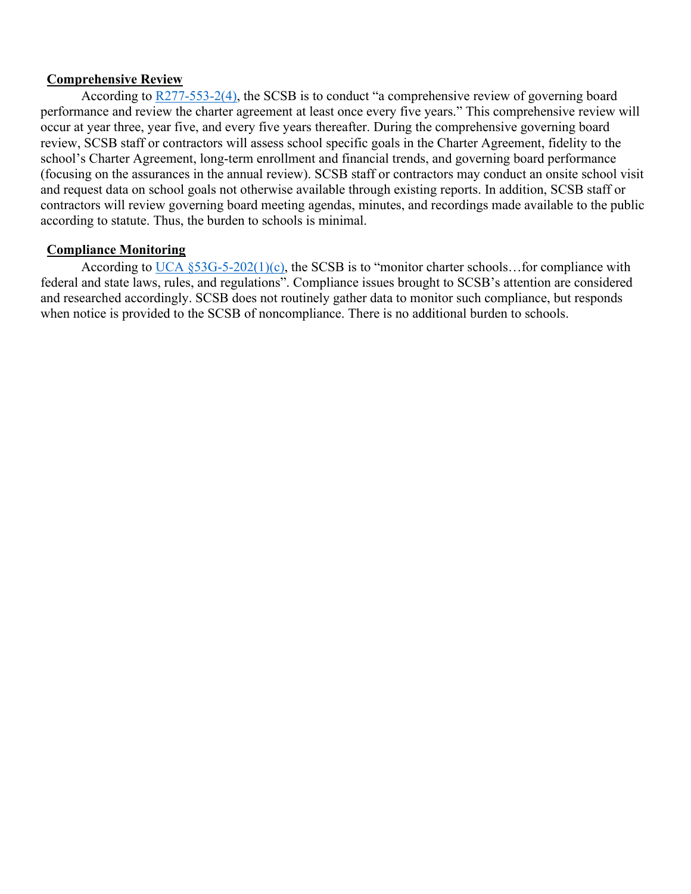#### **Comprehensive Review**

According to [R277-553-2\(4\),](https://rules.utah.gov/publicat/code/r277/r277-481.htm) the SCSB is to conduct "a comprehensive review of governing board performance and review the charter agreement at least once every five years." This comprehensive review will occur at year three, year five, and every five years thereafter. During the comprehensive governing board review, SCSB staff or contractors will assess school specific goals in the Charter Agreement, fidelity to the school's Charter Agreement, long-term enrollment and financial trends, and governing board performance (focusing on the assurances in the annual review). SCSB staff or contractors may conduct an onsite school visit and request data on school goals not otherwise available through existing reports. In addition, SCSB staff or contractors will review governing board meeting agendas, minutes, and recordings made available to the public according to statute. Thus, the burden to schools is minimal.

#### **Compliance Monitoring**

According to UCA  $\S$ 53G-5-202(1)(c), the SCSB is to "monitor charter schools... for compliance with federal and state laws, rules, and regulations". Compliance issues brought to SCSB's attention are considered and researched accordingly. SCSB does not routinely gather data to monitor such compliance, but responds when notice is provided to the SCSB of noncompliance. There is no additional burden to schools.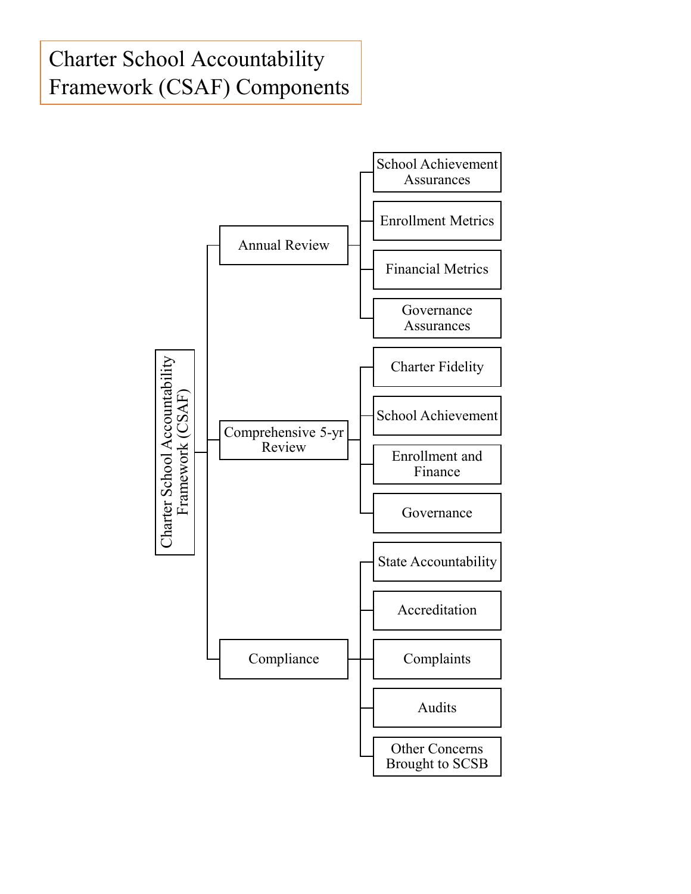# Charter School Accountability Framework (CSAF) Components

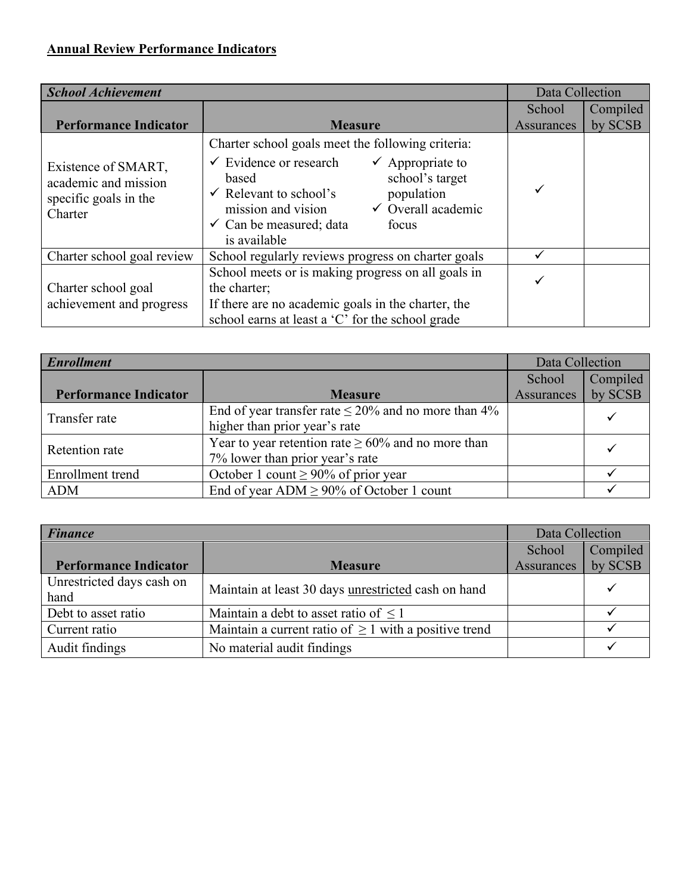| <b>School Achievement</b>                                                       |                                                                                                                                                                                                                                                                                                                            | Data Collection   |          |
|---------------------------------------------------------------------------------|----------------------------------------------------------------------------------------------------------------------------------------------------------------------------------------------------------------------------------------------------------------------------------------------------------------------------|-------------------|----------|
|                                                                                 |                                                                                                                                                                                                                                                                                                                            | School            | Compiled |
| <b>Performance Indicator</b>                                                    | <b>Measure</b>                                                                                                                                                                                                                                                                                                             | <b>Assurances</b> | by SCSB  |
| Existence of SMART,<br>academic and mission<br>specific goals in the<br>Charter | Charter school goals meet the following criteria:<br>$\checkmark$ Evidence or research<br>$\checkmark$ Appropriate to<br>school's target<br>based<br>$\checkmark$ Relevant to school's<br>population<br>$\checkmark$ Overall academic<br>mission and vision<br>$\checkmark$ Can be measured; data<br>focus<br>is available |                   |          |
| Charter school goal review                                                      | School regularly reviews progress on charter goals                                                                                                                                                                                                                                                                         |                   |          |
| Charter school goal<br>achievement and progress                                 | School meets or is making progress on all goals in<br>the charter;<br>If there are no academic goals in the charter, the<br>school earns at least a 'C' for the school grade                                                                                                                                               |                   |          |

| <b>Enrollment</b>            |                                                           | Data Collection   |          |
|------------------------------|-----------------------------------------------------------|-------------------|----------|
|                              |                                                           | School            | Compiled |
| <b>Performance Indicator</b> | <b>Measure</b>                                            | <b>Assurances</b> | by SCSB  |
| Transfer rate                | End of year transfer rate $\leq 20\%$ and no more than 4% |                   |          |
|                              | higher than prior year's rate                             |                   |          |
| Retention rate               | Year to year retention rate $\geq 60\%$ and no more than  |                   |          |
|                              | 7% lower than prior year's rate                           |                   |          |
| Enrollment trend             | October 1 count $\geq 90\%$ of prior year                 |                   |          |
| <b>ADM</b>                   | End of year ADM $\geq$ 90% of October 1 count             |                   |          |

| <b>Finance</b>                    |                                                            | Data Collection   |          |
|-----------------------------------|------------------------------------------------------------|-------------------|----------|
|                                   |                                                            | School            | Compiled |
| <b>Performance Indicator</b>      | <b>Measure</b>                                             | <b>Assurances</b> | by SCSB  |
| Unrestricted days cash on<br>hand | Maintain at least 30 days unrestricted cash on hand        |                   |          |
| Debt to asset ratio               | Maintain a debt to asset ratio of $\leq 1$                 |                   |          |
| Current ratio                     | Maintain a current ratio of $\geq 1$ with a positive trend |                   |          |
| Audit findings                    | No material audit findings                                 |                   |          |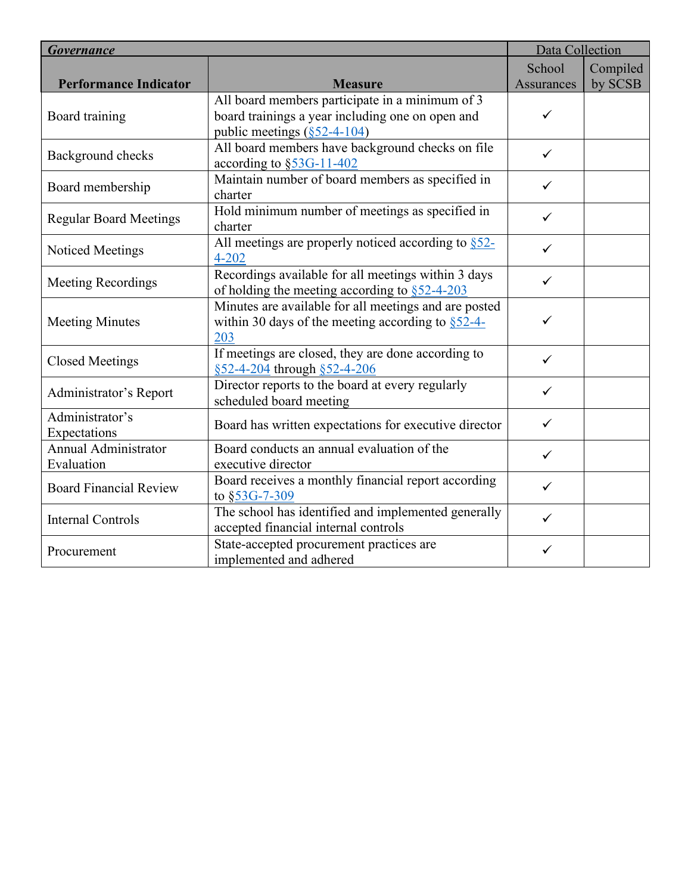| <b>Governance</b>                         |                                                                                                                                            | Data Collection   |          |
|-------------------------------------------|--------------------------------------------------------------------------------------------------------------------------------------------|-------------------|----------|
|                                           |                                                                                                                                            | School            | Compiled |
| <b>Performance Indicator</b>              | <b>Measure</b>                                                                                                                             | <b>Assurances</b> | by SCSB  |
| Board training                            | All board members participate in a minimum of 3<br>board trainings a year including one on open and<br>public meetings $(\S 52 - 4 - 104)$ | $\checkmark$      |          |
| Background checks                         | All board members have background checks on file<br>according to $\S$ 53G-11-402                                                           | $\checkmark$      |          |
| Board membership                          | Maintain number of board members as specified in<br>charter                                                                                | $\checkmark$      |          |
| <b>Regular Board Meetings</b>             | Hold minimum number of meetings as specified in<br>charter                                                                                 | ✓                 |          |
| Noticed Meetings                          | All meetings are properly noticed according to §52-<br>$\checkmark$<br>$4 - 202$                                                           |                   |          |
| <b>Meeting Recordings</b>                 | Recordings available for all meetings within 3 days<br>of holding the meeting according to $§52-4-203$                                     | ✓                 |          |
| <b>Meeting Minutes</b>                    | Minutes are available for all meetings and are posted<br>within 30 days of the meeting according to $\S$ 52-4-<br>203                      | $\checkmark$      |          |
| <b>Closed Meetings</b>                    | If meetings are closed, they are done according to<br>§52-4-204 through §52-4-206                                                          | ✓                 |          |
| Administrator's Report                    | Director reports to the board at every regularly<br>scheduled board meeting                                                                | $\checkmark$      |          |
| Administrator's<br>Expectations           | $\checkmark$<br>Board has written expectations for executive director                                                                      |                   |          |
| <b>Annual Administrator</b><br>Evaluation | Board conducts an annual evaluation of the<br>executive director                                                                           | ✓                 |          |
| <b>Board Financial Review</b>             | Board receives a monthly financial report according<br>to §53G-7-309                                                                       | ✓                 |          |
| <b>Internal Controls</b>                  | The school has identified and implemented generally<br>accepted financial internal controls                                                | $\checkmark$      |          |
| Procurement                               | State-accepted procurement practices are<br>implemented and adhered                                                                        | ✓                 |          |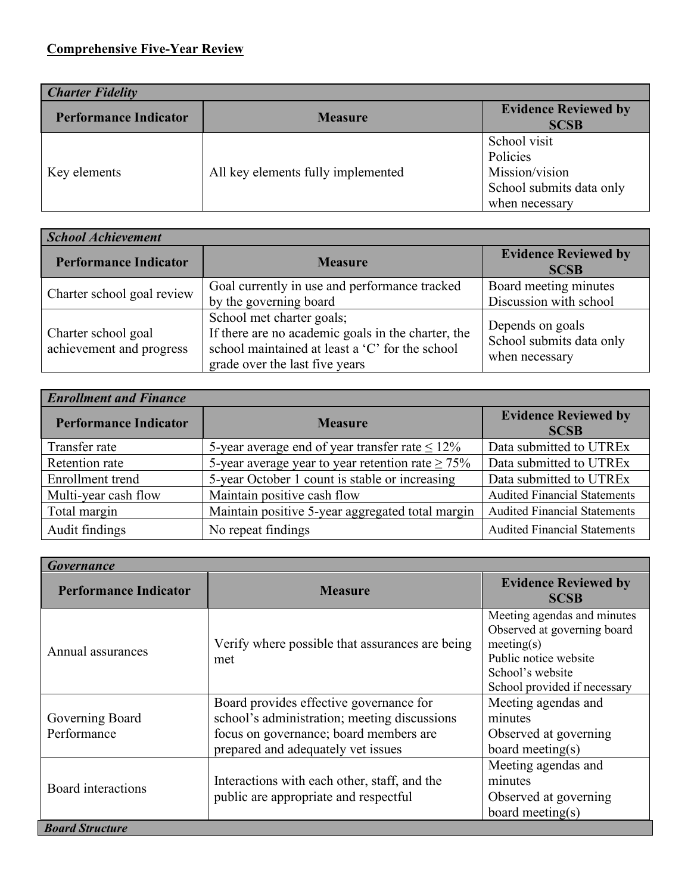| <b>Charter Fidelity</b>      |                                    |                                                                                          |  |
|------------------------------|------------------------------------|------------------------------------------------------------------------------------------|--|
| <b>Performance Indicator</b> | <b>Measure</b>                     | <b>Evidence Reviewed by</b><br><b>SCSB</b>                                               |  |
| Key elements                 | All key elements fully implemented | School visit<br>Policies<br>Mission/vision<br>School submits data only<br>when necessary |  |

| <b>School Achievement</b>                       |                                                                                                                                                                      |                                                                |  |
|-------------------------------------------------|----------------------------------------------------------------------------------------------------------------------------------------------------------------------|----------------------------------------------------------------|--|
| <b>Performance Indicator</b>                    | <b>Measure</b>                                                                                                                                                       | <b>Evidence Reviewed by</b><br><b>SCSB</b>                     |  |
| Charter school goal review                      | Goal currently in use and performance tracked<br>by the governing board                                                                                              | Board meeting minutes<br>Discussion with school                |  |
| Charter school goal<br>achievement and progress | School met charter goals;<br>If there are no academic goals in the charter, the<br>school maintained at least a 'C' for the school<br>grade over the last five years | Depends on goals<br>School submits data only<br>when necessary |  |

| <b>Enrollment and Finance</b> |                                                        |                                            |  |
|-------------------------------|--------------------------------------------------------|--------------------------------------------|--|
| <b>Performance Indicator</b>  | <b>Measure</b>                                         | <b>Evidence Reviewed by</b><br><b>SCSB</b> |  |
| Transfer rate                 | 5-year average end of year transfer rate $\leq 12\%$   | Data submitted to UTREx                    |  |
| Retention rate                | 5-year average year to year retention rate $\geq 75\%$ | Data submitted to UTREx                    |  |
| Enrollment trend              | 5-year October 1 count is stable or increasing         | Data submitted to UTREx                    |  |
| Multi-year cash flow          | Maintain positive cash flow                            | <b>Audited Financial Statements</b>        |  |
| Total margin                  | Maintain positive 5-year aggregated total margin       | <b>Audited Financial Statements</b>        |  |
| Audit findings                | No repeat findings                                     | <b>Audited Financial Statements</b>        |  |

| <b>Governance</b>              |                                                                                                                                                                         |                                                                                                                                                       |  |
|--------------------------------|-------------------------------------------------------------------------------------------------------------------------------------------------------------------------|-------------------------------------------------------------------------------------------------------------------------------------------------------|--|
| <b>Performance Indicator</b>   | <b>Measure</b>                                                                                                                                                          | <b>Evidence Reviewed by</b><br><b>SCSB</b>                                                                                                            |  |
| Annual assurances              | Verify where possible that assurances are being<br>met                                                                                                                  | Meeting agendas and minutes<br>Observed at governing board<br>meeting(s)<br>Public notice website<br>School's website<br>School provided if necessary |  |
| Governing Board<br>Performance | Board provides effective governance for<br>school's administration; meeting discussions<br>focus on governance; board members are<br>prepared and adequately vet issues | Meeting agendas and<br>minutes<br>Observed at governing<br>board meeting(s)                                                                           |  |
| Board interactions             | Interactions with each other, staff, and the<br>public are appropriate and respectful                                                                                   | Meeting agendas and<br>minutes<br>Observed at governing<br>board meeting(s)                                                                           |  |
| <b>Board Structure</b>         |                                                                                                                                                                         |                                                                                                                                                       |  |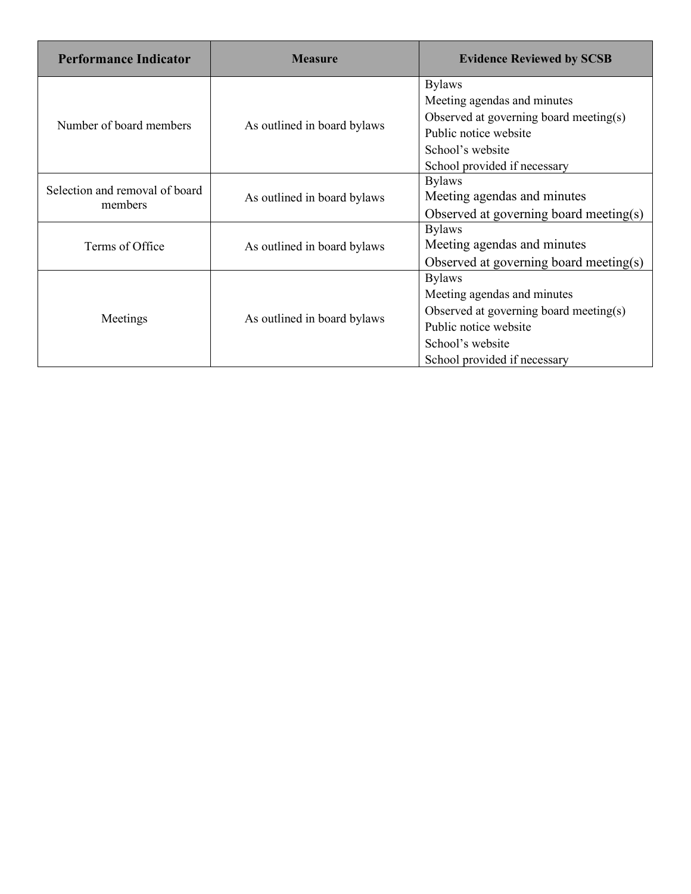| <b>Performance Indicator</b>   | <b>Measure</b>              | <b>Evidence Reviewed by SCSB</b>       |  |
|--------------------------------|-----------------------------|----------------------------------------|--|
|                                |                             | <b>Bylaws</b>                          |  |
|                                |                             | Meeting agendas and minutes            |  |
| Number of board members        | As outlined in board bylaws | Observed at governing board meeting(s) |  |
|                                |                             | Public notice website                  |  |
|                                |                             | School's website                       |  |
|                                |                             | School provided if necessary           |  |
| Selection and removal of board |                             | <b>Bylaws</b>                          |  |
| members                        | As outlined in board bylaws | Meeting agendas and minutes            |  |
|                                |                             | Observed at governing board meeting(s) |  |
|                                |                             | <b>Bylaws</b>                          |  |
| Terms of Office                | As outlined in board bylaws | Meeting agendas and minutes            |  |
|                                |                             | Observed at governing board meeting(s) |  |
|                                |                             | <b>Bylaws</b>                          |  |
|                                |                             | Meeting agendas and minutes            |  |
| Meetings                       |                             | Observed at governing board meeting(s) |  |
|                                | As outlined in board bylaws | Public notice website                  |  |
|                                |                             | School's website                       |  |
|                                |                             | School provided if necessary           |  |